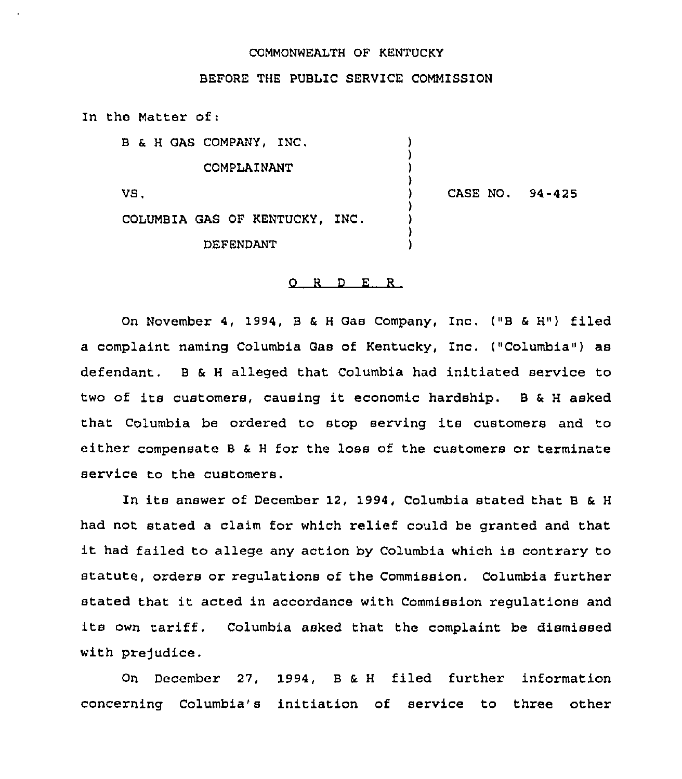## COMMONWEALTH OF KENTUCKY

BEFORE THE PUBLIC SERVICE COMMISSION

In the Matter of:

B & <sup>H</sup> GAS COMPANY, INC. COMPLAINANT VS, COLUMBIA GAS OF KENTUCKY, INC. DEFENDANT ) ) ) ) ) CASE NO. 94-425 ) ) ) )

## 0 <sup>R</sup> <sup>D</sup> E <sup>R</sup>

On November 4, 1994, <sup>B</sup> & <sup>H</sup> Gas Company, Inc. ("B <sup>6</sup> H") filed a complaint naming Columbia Gas of Kentucky, Inc. ("Columbia") as defendant. <sup>B</sup> & <sup>H</sup> alleged that Columbia had initiated service to two of its customers, causing it economic hardship. <sup>B</sup> & <sup>H</sup> asked that Columbia be ordered to stop serving its customers and to either compensate <sup>B</sup> & <sup>H</sup> for the loss of the customers or terminate service to the customers.

In its answer of December 12, 1994, Columbia stated that B & H had not stated a claim for which relief could be granted and that it had failed to allege any action by Columbia which is contrary to statute, orders or regulations of the Commission. Columbia further stated that it acted in accordance with Commission regulations and its own tariff. Columbia asked that the complaint be dismissed with prejudice.

On December 27, 1994, <sup>B</sup> & <sup>H</sup> filed further information concerning Columbia's initiation of service to three other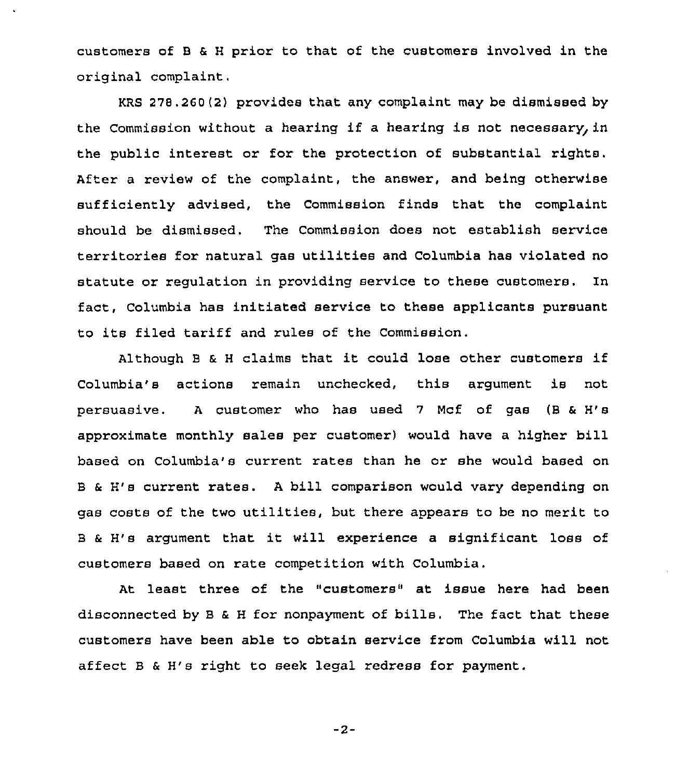customers of B & H prior to that of the customers involved in the original complaint,

KRS  $278.260(2)$  provides that any complaint may be dismissed by the Commission without a hearing if a hearing is not necessary, in the public interest or for the protection of substantial rights. After a review of the complaint, the answer, and being otherwise sufficiently advised, the Commission finds that the complaint should be dismissed. The Commission does not establish service territories for natural gas utilities and Columbia has violated no statute or requlation in providing service to these customers. In fact, Columbia has initiated service to these applicants pursuant to its filed tariff and rules of the Commission.

Although <sup>B</sup> <sup>6</sup> <sup>H</sup> claims that it could lose other customers if columbia'8 actions remain unchecked, this argument is not persuasive. <sup>A</sup> customer who has used 7 Mcf of gas (B <sup>6</sup> H'8 approximate monthly sales per customer) would have a higher bill based on Columbia'8 current rates than he or she would based on <sup>B</sup> & H'8 current rates. <sup>A</sup> bill comparison would vary depending on gas costs of the two utilities, but there appears to be no merit to <sup>B</sup> & H'8 argument that it will experience <sup>a</sup> significant loss of customers based on rate competition with Columbia.

At least three of the "customers" at issue here had been disconnected by <sup>B</sup> & <sup>H</sup> for nonpayment of bills. The fact that these customers have been able to obtain service from Columbia will not affect <sup>B</sup> & H'8 right to seek legal redress for payment.

 $-2-$